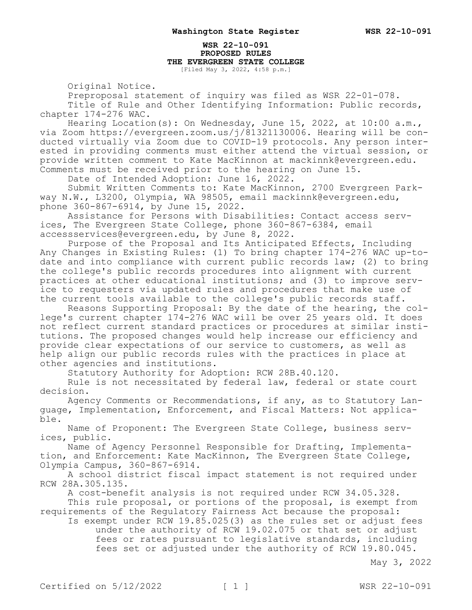#### **WSR 22-10-091 PROPOSED RULES THE EVERGREEN STATE COLLEGE** [Filed May 3, 2022, 4:58 p.m.]

Original Notice.

Preproposal statement of inquiry was filed as WSR 22-01-078.

Title of Rule and Other Identifying Information: Public records, chapter 174-276 WAC.

Hearing Location(s): On Wednesday, June 15, 2022, at 10:00 a.m., via Zoom https://evergreen.zoom.us/j/81321130006. Hearing will be conducted virtually via Zoom due to COVID-19 protocols. Any person interested in providing comments must either attend the virtual session, or provide written comment to Kate MacKinnon at mackinnk@evergreen.edu. Comments must be received prior to the hearing on June 15.

Date of Intended Adoption: June 16, 2022.

Submit Written Comments to: Kate MacKinnon, 2700 Evergreen Parkway N.W., L3200, Olympia, WA 98505, email mackinnk@evergreen.edu, phone 360-867-6914, by June 15, 2022.

Assistance for Persons with Disabilities: Contact access services, The Evergreen State College, phone 360-867-6384, email accessservices@evergreen.edu, by June 8, 2022.

Purpose of the Proposal and Its Anticipated Effects, Including Any Changes in Existing Rules: (1) To bring chapter 174-276 WAC up-todate and into compliance with current public records law; (2) to bring the college's public records procedures into alignment with current practices at other educational institutions; and (3) to improve service to requesters via updated rules and procedures that make use of the current tools available to the college's public records staff.

Reasons Supporting Proposal: By the date of the hearing, the college's current chapter 174-276 WAC will be over 25 years old. It does not reflect current standard practices or procedures at similar institutions. The proposed changes would help increase our efficiency and provide clear expectations of our service to customers, as well as help align our public records rules with the practices in place at other agencies and institutions.

Statutory Authority for Adoption: RCW 28B.40.120.

Rule is not necessitated by federal law, federal or state court decision.

Agency Comments or Recommendations, if any, as to Statutory Language, Implementation, Enforcement, and Fiscal Matters: Not applicable.

Name of Proponent: The Evergreen State College, business services, public.

Name of Agency Personnel Responsible for Drafting, Implementation, and Enforcement: Kate MacKinnon, The Evergreen State College, Olympia Campus, 360-867-6914.

A school district fiscal impact statement is not required under RCW 28A.305.135.

A cost-benefit analysis is not required under RCW 34.05.328.

This rule proposal, or portions of the proposal, is exempt from requirements of the Regulatory Fairness Act because the proposal:

Is exempt under RCW 19.85.025(3) as the rules set or adjust fees under the authority of RCW 19.02.075 or that set or adjust fees or rates pursuant to legislative standards, including fees set or adjusted under the authority of RCW 19.80.045.

May 3, 2022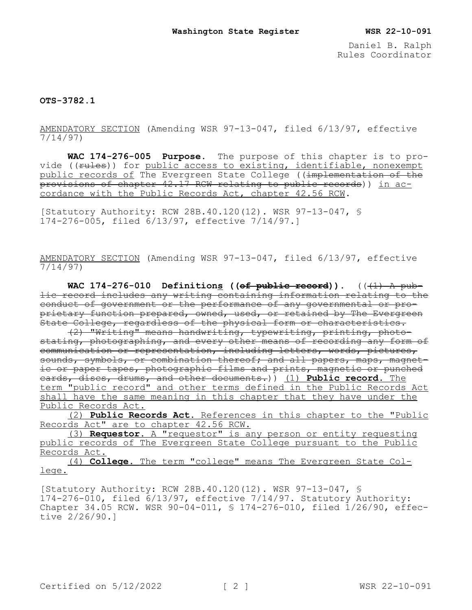Daniel B. Ralph Rules Coordinator

**OTS-3782.1**

AMENDATORY SECTION (Amending WSR 97-13-047, filed 6/13/97, effective 7/14/97)

**WAC 174-276-005 Purpose.** The purpose of this chapter is to provide ((rules)) for public access to existing, identifiable, nonexempt public records of The Evergreen State College ((implementation of the provisions of chapter 42.17 RCW relating to public records)) in accordance with the Public Records Act, chapter 42.56 RCW.

[Statutory Authority: RCW 28B.40.120(12). WSR 97-13-047, § 174-276-005, filed 6/13/97, effective 7/14/97.]

AMENDATORY SECTION (Amending WSR 97-13-047, filed 6/13/97, effective 7/14/97)

WAC  $174-276-010$  Definitions ((of public record)).  $((1)$  A public record includes any writing containing information relating to the conduct of government or the performance of any governmental or proprietary function prepared, owned, used, or retained by The Evergreen .<br>State College, regardless of the physical form or characteristics.

(2) "Writing" means handwriting, typewriting, printing, photostating, photographing, and every other means of recording any form of communication or representation, including letters, words, pictures, sounds, symbols, or combination thereof; and all papers, maps, magnetic or paper tapes, photographic films and prints, magnetic or punched cards, discs, drums, and other documents.)) (1) **Public record.** The term "public record" and other terms defined in the Public Records Act shall have the same meaning in this chapter that they have under the Public Records Act.

(2) **Public Records Act.** References in this chapter to the "Public Records Act" are to chapter 42.56 RCW.

(3) **Requestor.** A "requestor" is any person or entity requesting public records of The Evergreen State College pursuant to the Public Records Act.

(4) **College.** The term "college" means The Evergreen State College.

[Statutory Authority: RCW 28B.40.120(12). WSR 97-13-047, § 174-276-010, filed 6/13/97, effective 7/14/97. Statutory Authority: Chapter 34.05 RCW. WSR 90-04-011, § 174-276-010, filed 1/26/90, effective 2/26/90.]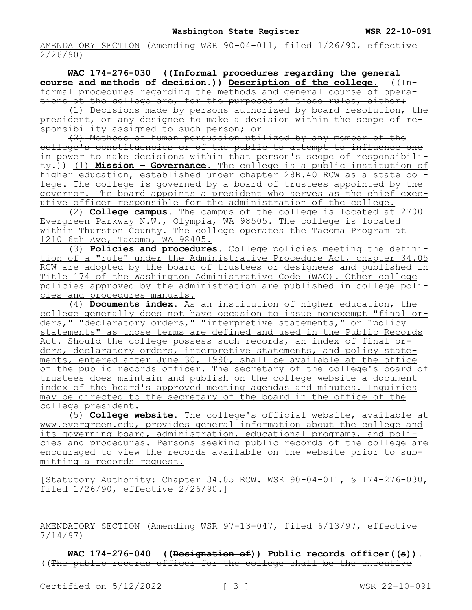AMENDATORY SECTION (Amending WSR 90-04-011, filed 1/26/90, effective 2/26/90)

**WAC 174-276-030 ((Informal procedures regarding the general course and methods of decision.)**) Description of the college. ((Informal procedures regarding the methods and general course of operations at the college are, for the purposes of these rules, either:

(1) Decisions made by persons authorized by board resolution, the president, or any designee to make a decision within the scope of responsibility assigned to such person; or

(2) Methods of human persuasion utilized by any member of the college's constituencies or of the public to attempt to influence one in power to make decisions within that person's scope of responsibility.)) (1) **Mission – Governance.** The college is a public institution of higher education, established under chapter 28B.40 RCW as a state college. The college is governed by a board of trustees appointed by the governor. The board appoints a president who serves as the chief executive officer responsible for the administration of the college.

(2) **College campus.** The campus of the college is located at 2700 Evergreen Parkway N.W., Olympia, WA 98505. The college is located within Thurston County. The college operates the Tacoma Program at 1210 6th Ave, Tacoma, WA 98405.

(3) **Policies and procedures.** College policies meeting the definition of a "rule" under the Administrative Procedure Act, chapter 34.05 RCW are adopted by the board of trustees or designees and published in Title 174 of the Washington Administrative Code (WAC). Other college policies approved by the administration are published in college policies and procedures manuals.

(4) **Documents index.** As an institution of higher education, the college generally does not have occasion to issue nonexempt "final orders," "declaratory orders," "interpretive statements," or "policy statements" as those terms are defined and used in the Public Records Act. Should the college possess such records, an index of final orders, declaratory orders, interpretive statements, and policy statements, entered after June 30, 1990, shall be available at the office of the public records officer. The secretary of the college's board of trustees does maintain and publish on the college website a document index of the board's approved meeting agendas and minutes. Inquiries may be directed to the secretary of the board in the office of the college president.

(5) **College website.** The college's official website, available at www.evergreen.edu, provides general information about the college and its governing board, administration, educational programs, and policies and procedures. Persons seeking public records of the college are encouraged to view the records available on the website prior to submitting a records request.

[Statutory Authority: Chapter 34.05 RCW. WSR 90-04-011, § 174-276-030, filed 1/26/90, effective 2/26/90.]

AMENDATORY SECTION (Amending WSR 97-13-047, filed 6/13/97, effective 7/14/97)

WAC 174-276-040 ((Designation of)) Public records officer((s)). ((The public records officer for the college shall be the executive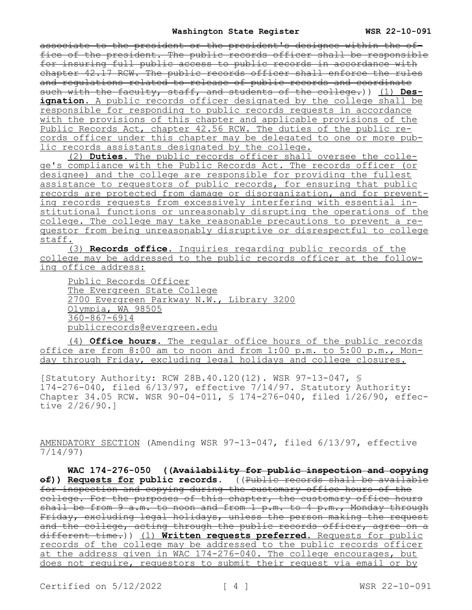#### **Washington State Register WSR 22-10-091**

associate to the president or the president's designee within the office of the president. The public records officer shall be responsible for insuring full public access to public records in accordance with chapter 42.17 RCW. The public records officer shall enforce the rules and regulations related to release of public records and coordinate such with the faculty, staff, and students of the college.)) (1) **Des**ignation. A public records officer designated by the college shall be responsible for responding to public records requests in accordance with the provisions of this chapter and applicable provisions of the Public Records Act, chapter 42.56 RCW. The duties of the public records officer under this chapter may be delegated to one or more public records assistants designated by the college.

(2) **Duties.** The public records officer shall oversee the college's compliance with the Public Records Act. The records officer (or designee) and the college are responsible for providing the fullest assistance to requestors of public records, for ensuring that public records are protected from damage or disorganization, and for preventing records requests from excessively interfering with essential institutional functions or unreasonably disrupting the operations of the college. The college may take reasonable precautions to prevent a requestor from being unreasonably disruptive or disrespectful to college staff.

(3) **Records office.** Inquiries regarding public records of the college may be addressed to the public records officer at the following office address:

Public Records Officer The Evergreen State College 2700 Evergreen Parkway N.W., Library 3200 Olympia, WA 98505 360-867-6914 publicrecords@evergreen.edu

(4) **Office hours.** The regular office hours of the public records office are from 8:00 am to noon and from 1:00 p.m. to 5:00 p.m., Monday through Friday, excluding legal holidays and college closures.

[Statutory Authority: RCW 28B.40.120(12). WSR 97-13-047, § 174-276-040, filed 6/13/97, effective 7/14/97. Statutory Authority: Chapter 34.05 RCW. WSR 90-04-011, § 174-276-040, filed 1/26/90, effective 2/26/90.]

AMENDATORY SECTION (Amending WSR 97-13-047, filed 6/13/97, effective 7/14/97)

**WAC 174-276-050 ((Availability for public inspection and copying of)) Requests for public records.** ((Public records shall be available for inspection and copying during the customary office hours of the college. For the purposes of this chapter, the customary office hours shall be from 9 a.m. to noon and from 1 p.m. to 4 p.m., Monday through Friday, excluding legal holidays, unless the person making the request and the college, acting through the public records officer, agree on a different time.)) (1) **Written requests preferred.** Requests for public records of the college may be addressed to the public records officer at the address given in WAC 174-276-040. The college encourages, but does not require, requestors to submit their request via email or by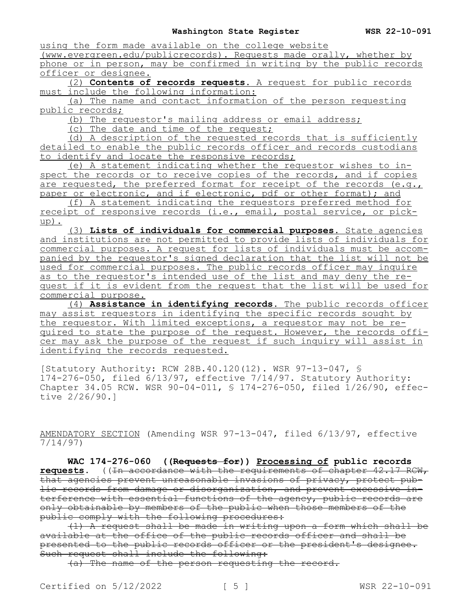using the form made available on the college website

(www.evergreen.edu/publicrecords). Requests made orally, whether by phone or in person, may be confirmed in writing by the public records officer or designee.

(2) **Contents of records requests.** A request for public records must include the following information:

(a) The name and contact information of the person requesting public records;

(b) The requestor's mailing address or email address;

(c) The date and time of the request;

(d) A description of the requested records that is sufficiently detailed to enable the public records officer and records custodians to identify and locate the responsive records;

(e) A statement indicating whether the requestor wishes to inspect the records or to receive copies of the records, and if copies are requested, the preferred format for receipt of the records (e.g., paper or electronic, and if electronic, pdf or other format); and

(f) A statement indicating the requestors preferred method for receipt of responsive records (i.e., email, postal service, or pickup).

(3) **Lists of individuals for commercial purposes.** State agencies and institutions are not permitted to provide lists of individuals for commercial purposes. A request for lists of individuals must be accompanied by the requestor's signed declaration that the list will not be used for commercial purposes. The public records officer may inquire as to the requestor's intended use of the list and may deny the request if it is evident from the request that the list will be used for commercial purpose.

(4) **Assistance in identifying records.** The public records officer may assist requestors in identifying the specific records sought by the requestor. With limited exceptions, a requestor may not be required to state the purpose of the request. However, the records officer may ask the purpose of the request if such inquiry will assist in identifying the records requested.

[Statutory Authority: RCW 28B.40.120(12). WSR 97-13-047, §  $174-276-0.50$ , filed  $6/13/97$ , effective  $7/14/97$ . Statutory Authority: Chapter 34.05 RCW. WSR 90-04-011, § 174-276-050, filed 1/26/90, effective 2/26/90.]

AMENDATORY SECTION (Amending WSR 97-13-047, filed 6/13/97, effective 7/14/97)

**WAC 174-276-060 ((Requests for)) Processing of public records requests.** ((In accordance with the requirements of chapter 42.17 RCW, that agencies prevent unreasonable invasions of privacy, protect public records from damage or disorganization, and prevent excessive interference with essential functions of the agency, public records are only obtainable by members of the public when those members of the public comply with the following procedures:

(1) A request shall be made in writing upon a form which shall be available at the office of the public records officer and shall be presented to the public records officer or the president's designee. Such request shall include the following:

(a) The name of the person requesting the record.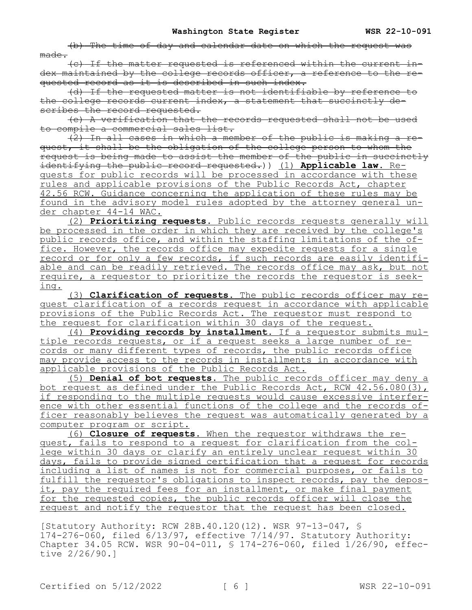(b) The time of day and calendar date on which the request was made.

(c) If the matter requested is referenced within the current index maintained by the college records officer, a reference to the requested record as it is described in such index.

(d) If the requested matter is not identifiable by reference to the college records current index, a statement that succinctly describes the record requested.

(e) A verification that the records requested shall not be used to compile a commercial sales list.

 $\overline{2}$ ) In all cases in which a member of the public is making a request, it shall be the obligation of the college person to whom the request is being made to assist the member of the public in succinctly identifying the public record requested.)) (1) **Applicable law.** Requests for public records will be processed in accordance with these rules and applicable provisions of the Public Records Act, chapter 42.56 RCW. Guidance concerning the application of these rules may be found in the advisory model rules adopted by the attorney general under chapter 44-14 WAC.

(2) **Prioritizing requests.** Public records requests generally will be processed in the order in which they are received by the college's public records office, and within the staffing limitations of the office. However, the records office may expedite requests for a single record or for only a few records, if such records are easily identifiable and can be readily retrieved. The records office may ask, but not require, a requestor to prioritize the records the requestor is seeking.

(3) **Clarification of requests.** The public records officer may request clarification of a records request in accordance with applicable provisions of the Public Records Act. The requestor must respond to the request for clarification within 30 days of the request.

(4) **Providing records by installment.** If a requestor submits multiple records requests, or if a request seeks a large number of records or many different types of records, the public records office may provide access to the records in installments in accordance with applicable provisions of the Public Records Act.

(5) **Denial of bot requests.** The public records officer may deny a bot request as defined under the Public Records Act, RCW 42.56.080(3), if responding to the multiple requests would cause excessive interference with other essential functions of the college and the records officer reasonably believes the request was automatically generated by a computer program or script.

(6) **Closure of requests.** When the requestor withdraws the request, fails to respond to a request for clarification from the college within 30 days or clarify an entirely unclear request within 30 days, fails to provide signed certification that a request for records including a list of names is not for commercial purposes, or fails to fulfill the requestor's obligations to inspect records, pay the deposit, pay the required fees for an installment, or make final payment for the requested copies, the public records officer will close the request and notify the requestor that the request has been closed.

[Statutory Authority: RCW 28B.40.120(12). WSR 97-13-047, § 174-276-060, filed 6/13/97, effective 7/14/97. Statutory Authority: Chapter 34.05 RCW. WSR 90-04-011, § 174-276-060, filed 1/26/90, effective 2/26/90.]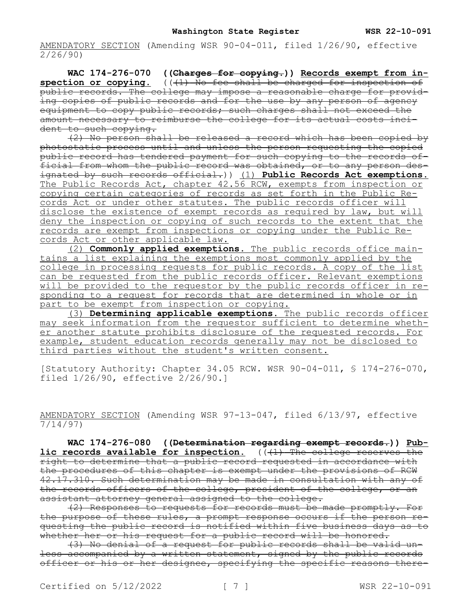AMENDATORY SECTION (Amending WSR 90-04-011, filed 1/26/90, effective 2/26/90)

**WAC 174-276-070 ((Charges for copying.)) Records exempt from in**spection or copying. (((1) No fee shall be charged for inspection of public records. The college may impose a reasonable charge for providing copies of public records and for the use by any person of agency equipment to copy public records; such charges shall not exceed the amount necessary to reimburse the college for its actual costs incident to such copying.

(2) No person shall be released a record which has been copied by photostatic process until and unless the person requesting the copied public record has tendered payment for such copying to the records official from whom the public record was obtained, or to any person designated by such records official.)) (1) **Public Records Act exemptions.**  The Public Records Act, chapter 42.56 RCW, exempts from inspection or copying certain categories of records as set forth in the Public Records Act or under other statutes. The public records officer will disclose the existence of exempt records as required by law, but will deny the inspection or copying of such records to the extent that the records are exempt from inspections or copying under the Public Records Act or other applicable law.

(2) **Commonly applied exemptions.** The public records office maintains a list explaining the exemptions most commonly applied by the college in processing requests for public records. A copy of the list can be requested from the public records officer. Relevant exemptions will be provided to the requestor by the public records officer in responding to a request for records that are determined in whole or in part to be exempt from inspection or copying.

(3) **Determining applicable exemptions.** The public records officer may seek information from the requestor sufficient to determine whether another statute prohibits disclosure of the requested records. For example, student education records generally may not be disclosed to third parties without the student's written consent.

[Statutory Authority: Chapter 34.05 RCW. WSR 90-04-011, § 174-276-070, filed 1/26/90, effective 2/26/90.]

AMENDATORY SECTION (Amending WSR 97-13-047, filed 6/13/97, effective 7/14/97)

**WAC 174-276-080 ((Determination regarding exempt records.)) Public records available for inspection.** (( $\text{+1}$ ) The college reserves the right to determine that a public record requested in accordance with the procedures of this chapter is exempt under the provisions of RCW 42.17.310. Such determination may be made in consultation with any of the records officers of the college, president of the college, or an assistant attorney general assigned to the college.

(2) Responses to requests for records must be made promptly. For the purpose of these rules, a prompt response occurs if the person requesting the public record is notified within five business days as to whether her or his request for a public record will be honored.

(3) No denial of a request for public records shall be valid unless accompanied by a written statement, signed by the public records officer or his or her designee, specifying the specific reasons there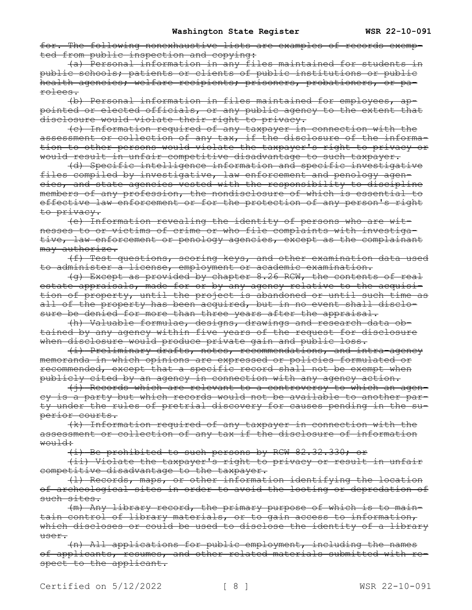for. The following nonexhaustive lists are examples of records exempted from public inspection and copying:

(a) Personal information in any files maintained for students in public schools; patients or clients of public institutions or public health agencies; welfare recipients; prisoners, probationers, or parolees.

(b) Personal information in files maintained for employees, appointed or elected officials, or any public agency to the extent that .<br>disclosure would violate their right to privacy.

(c) Information required of any taxpayer in connection with the assessment or collection of any tax, if the disclosure of the information to other persons would violate the taxpayer's right to privacy or would result in unfair competitive disadvantage to such taxpayer.

(d) Specific intelligence information and specific investigative files compiled by investigative, law enforcement and penology agencies, and state agencies vested with the responsibility to discipline members of any profession, the nondisclosure of which is essential to effective law enforcement or for the protection of any person's right to privacy.

(e) Information revealing the identity of persons who are witnesses to or victims of crime or who file complaints with investigative, law enforcement or penology agencies, except as the complainant may authorize.

(f) Test questions, scoring keys, and other examination data used to administer a license, employment or academic examination.

(g) Except as provided by chapter 8.26 RCW, the contents of real estate appraisals, made for or by any agency relative to the acquisition of property, until the project is abandoned or until such time as all of the property has been acquired, but in no event shall disclosure be denied for more than three years after the appraisal.

(h) Valuable formulae, designs, drawings and research data obtained by any agency within five years of the request for disclosure when disclosure would produce private gain and public loss.

(i) Preliminary drafts, notes, recommendations, and intra-agency memoranda in which opinions are expressed or policies formulated or recommended, except that a specific record shall not be exempt when publicly cited by an agency in connection with any agency action.

(j) Records which are relevant to a controversy to which an agency is a party but which records would not be available to another party under the rules of pretrial discovery for causes pending in the superior courts.

(k) Information required of any taxpayer in connection with the assessment or collection of any tax if the disclosure of information would:

(i) Be prohibited to such persons by RCW 82.32.330; or

(ii) Violate the taxpayer's right to privacy or result in unfair competitive disadvantage to the taxpayer.

(l) Records, maps, or other information identifying the location of archeological sites in order to avoid the looting or depredation of such sites.

(m) Any library record, the primary purpose of which is to maintain control of library materials, or to gain access to information, which discloses or could be used to disclose the identity of a library user.

(n) All applications for public employment, including the names of applicants, resumes, and other related materials submitted with respect to the applicant.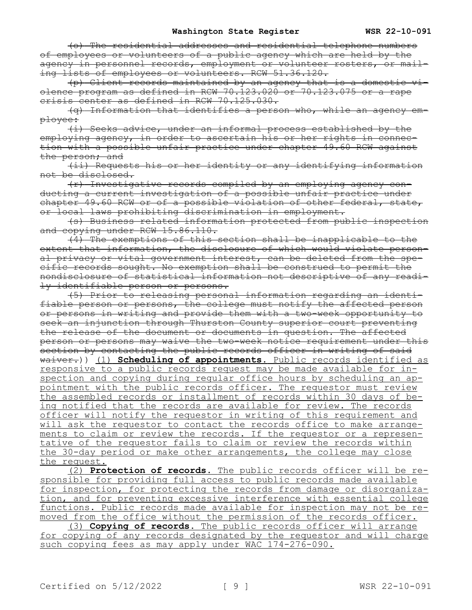(o) The residential addresses and residential telephone numbers of employees or volunteers of a public agency which are held by the agency in personnel records, employment or volunteer rosters, or mailing lists of employees or volunteers. RCW 51.36.120.

(p) Client records maintained by an agency that is a domestic violence program as defined in RCW 70.123.020 or 70.123.075 or a rape crisis center as defined in RCW 70.125.030.

(q) Information that identifies a person who, while an agency employee:

(i) Seeks advice, under an informal process established by the employing agency, in order to ascertain his or her rights in connection with a possible unfair practice under chapter 49.60 RCW against the person; and

(ii) Requests his or her identity or any identifying information not be disclosed.

(r) Investigative records compiled by an employing agency conducting a current investigation of a possible unfair practice under chapter 49.60 RCW or of a possible violation of other federal, state, or local laws prohibiting discrimination in employment.

(s) Business related information protected from public inspection and copying under RCW 15.86.110.

(4) The exemptions of this section shall be inapplicable to the extent that information, the disclosure of which would violate personal privacy or vital government interest, can be deleted from the specific records sought. No exemption shall be construed to permit the nondisclosure of statistical information not descriptive of any readily identifiable person or persons.

(5) Prior to releasing personal information regarding an identifiable person or persons, the college must notify the affected person or persons in writing and provide them with a two-week opportunity to seek an injunction through Thurston County superior court preventing the release of the document or documents in question. The affected person or persons may waive the two-week notice requirement under this section by contacting the public records officer in writing of said waiver.)) (1) **Scheduling of appointments.** Public records identified as responsive to a public records request may be made available for inspection and copying during regular office hours by scheduling an appointment with the public records officer. The requestor must review the assembled records or installment of records within 30 days of being notified that the records are available for review. The records officer will notify the requestor in writing of this requirement and will ask the requestor to contact the records office to make arrangements to claim or review the records. If the requestor or a representative of the requestor fails to claim or review the records within the 30-day period or make other arrangements, the college may close the request.

(2) **Protection of records.** The public records officer will be responsible for providing full access to public records made available for inspection, for protecting the records from damage or disorganization, and for preventing excessive interference with essential college functions. Public records made available for inspection may not be removed from the office without the permission of the records officer. (3) **Copying of records.** The public records officer will arrange for copying of any records designated by the requestor and will charge such copying fees as may apply under WAC 174-276-090.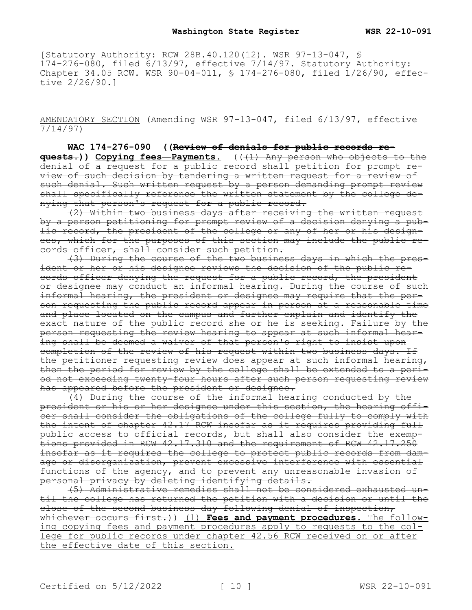[Statutory Authority: RCW 28B.40.120(12). WSR 97-13-047, § 174-276-080, filed 6/13/97, effective 7/14/97. Statutory Authority: Chapter 34.05 RCW. WSR 90-04-011, § 174-276-080, filed 1/26/90, effective 2/26/90.]

AMENDATORY SECTION (Amending WSR 97-13-047, filed 6/13/97, effective 7/14/97)

**WAC 174-276-090 ((Review of denials for public records requests.)) Copying fees—Payments.** (((1) Any person who objects to the denial of a request for a public record shall petition for prompt review of such decision by tendering a written request for a review of such denial. Such written request by a person demanding prompt review shall specifically reference the written statement by the college denying that person's request for a public record.

(2) Within two business days after receiving the written request by a person petitioning for prompt review of a decision denying a public record, the president of the college or any of her or his designees, which for the purposes of this section may include the public records officer, shall consider such petition.

(3) During the course of the two business days in which the president or her or his designee reviews the decision of the public records officer denying the request for a public record, the president or designee may conduct an informal hearing. During the course of such informal hearing, the president or designee may require that the person requesting the public record appear in person at a reasonable time and place located on the campus and further explain and identify the exact nature of the public record she or he is seeking. Failure by the person requesting the review hearing to appear at such informal hearing shall be deemed a waiver of that person's right to insist upon completion of the review of his request within two business days. If the petitioner requesting review does appear at such informal hearing, then the period for review by the college shall be extended to a period not exceeding twenty-four hours after such person requesting review has appeared before the president or designee.

(4) During the course of the informal hearing conducted by the president or his or her designee under this section, the hearing officer shall consider the obligations of the college fully to comply with the intent of chapter 42.17 RCW insofar as it requires providing full public access to official records, but shall also consider the exemptions provided in RCW 42.17.310 and the requirement of RCW 42.17.250 insofar as it requires the college to protect public records from damage or disorganization, prevent excessive interference with essential functions of the agency, and to prevent any unreasonable invasion of personal privacy by deleting identifying details.

(5) Administrative remedies shall not be considered exhausted until the college has returned the petition with a decision or until the close of the second business day following denial of inspection, whichever occurs first.)) (1) **Fees and payment procedures.** The following copying fees and payment procedures apply to requests to the college for public records under chapter 42.56 RCW received on or after the effective date of this section.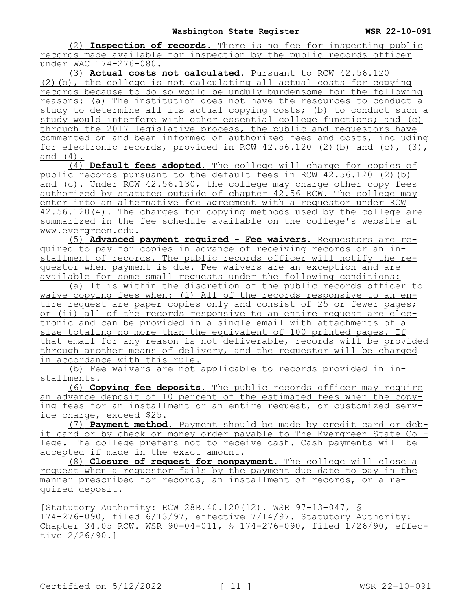(2) **Inspection of records.** There is no fee for inspecting public records made available for inspection by the public records officer under WAC 174-276-080.

(3) **Actual costs not calculated.** Pursuant to RCW 42.56.120 (2)(b), the college is not calculating all actual costs for copying records because to do so would be unduly burdensome for the following reasons: (a) The institution does not have the resources to conduct a study to determine all its actual copying costs; (b) to conduct such a study would interfere with other essential college functions; and (c) through the 2017 legislative process, the public and requestors have commented on and been informed of authorized fees and costs, including for electronic records, provided in RCW  $42.56.120$  (2)(b) and (c), (3), and (4).

(4) **Default fees adopted.** The college will charge for copies of public records pursuant to the default fees in RCW 42.56.120 (2)(b) and (c). Under RCW 42.56.130, the college may charge other copy fees authorized by statutes outside of chapter 42.56 RCW. The college may enter into an alternative fee agreement with a requestor under RCW 42.56.120(4). The charges for copying methods used by the college are summarized in the fee schedule available on the college's website at www.evergreen.edu.

(5) **Advanced payment required - Fee waivers.** Requestors are required to pay for copies in advance of receiving records or an installment of records. The public records officer will notify the requestor when payment is due. Fee waivers are an exception and are available for some small requests under the following conditions:

(a) It is within the discretion of the public records officer to waive copying fees when: (i) All of the records responsive to an entire request are paper copies only and consist of 25 or fewer pages; or (ii) all of the records responsive to an entire request are electronic and can be provided in a single email with attachments of a size totaling no more than the equivalent of 100 printed pages. If that email for any reason is not deliverable, records will be provided through another means of delivery, and the requestor will be charged in accordance with this rule.

(b) Fee waivers are not applicable to records provided in installments.

(6) **Copying fee deposits.** The public records officer may require an advance deposit of 10 percent of the estimated fees when the copying fees for an installment or an entire request, or customized service charge, exceed \$25.

(7) **Payment method.** Payment should be made by credit card or debit card or by check or money order payable to The Evergreen State College. The college prefers not to receive cash. Cash payments will be accepted if made in the exact amount.

(8) **Closure of request for nonpayment.** The college will close a request when a requestor fails by the payment due date to pay in the manner prescribed for records, an installment of records, or a required deposit.

[Statutory Authority: RCW 28B.40.120(12). WSR 97-13-047, § 174-276-090, filed 6/13/97, effective 7/14/97. Statutory Authority: Chapter 34.05 RCW. WSR 90-04-011, § 174-276-090, filed 1/26/90, effective 2/26/90.]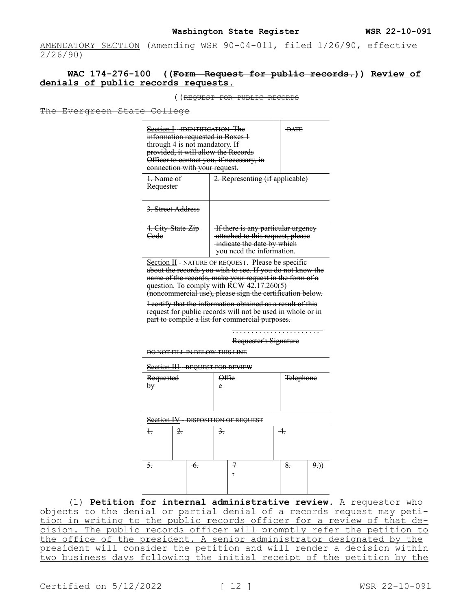AMENDATORY SECTION (Amending WSR 90-04-011, filed 1/26/90, effective 2/26/90)

# **WAC 174-276-100 ((Form—Request for public records.)) Review of denials of public records requests.**

((REQUEST FOR PUBLIC RECORDS

The Evergreen State College

| Section I--IDENTIFICATION. The<br>- <del>DATE</del><br>information requested in Boxes 1<br>through 4 is not mandatory. If<br>provided, it will allow the Records<br>Officer to contact you, if necessary, in<br>connection with your request. |                                                                                                                                    |  |  |
|-----------------------------------------------------------------------------------------------------------------------------------------------------------------------------------------------------------------------------------------------|------------------------------------------------------------------------------------------------------------------------------------|--|--|
| <del>1. Name of</del><br><del>Requester</del>                                                                                                                                                                                                 | 2. Representing (if applicable)                                                                                                    |  |  |
| <del>3. Street Address</del>                                                                                                                                                                                                                  |                                                                                                                                    |  |  |
| 4. City-State-Zip<br>Code                                                                                                                                                                                                                     | If there is any particular urgency<br>-attached to this request, please<br>indicate the date by which<br>you need the information. |  |  |

Section II - NATURE OF REQUEST. Please be specific about the records you wish to see. If you do not know the name of the records, make your request in the form of a question. To comply with RCW 42.17.260(5) (noncommercial use), please sign the certification below.

I certify that the information obtained as a result of this request for public records will not be used in whole or in part to compile a list for commercial purposes.

Requester's Signature

. . . . . . . . . . . . . . . . . . . . . . .

DO NOT FILL IN BELOW THIS LINE

Section III - REQUEST FOR REVIEW

| Requested | <del>)ffie</del> | <b>Telephone</b> |
|-----------|------------------|------------------|
|           | e                |                  |
|           |                  |                  |
|           |                  |                  |

Section IV - DISPOSITION OF REQUEST

| $\ddagger$       | 2. |        | $\frac{3}{2}$ . |               | $-4.$         |    |
|------------------|----|--------|-----------------|---------------|---------------|----|
| $\overline{5}$ . |    | $\div$ |                 | $\mathcal{I}$ | $\frac{8}{5}$ | 9) |

(1) **Petition for internal administrative review.** A requestor who objects to the denial or partial denial of a records request may petition in writing to the public records officer for a review of that decision. The public records officer will promptly refer the petition to the office of the president. A senior administrator designated by the president will consider the petition and will render a decision within two business days following the initial receipt of the petition by the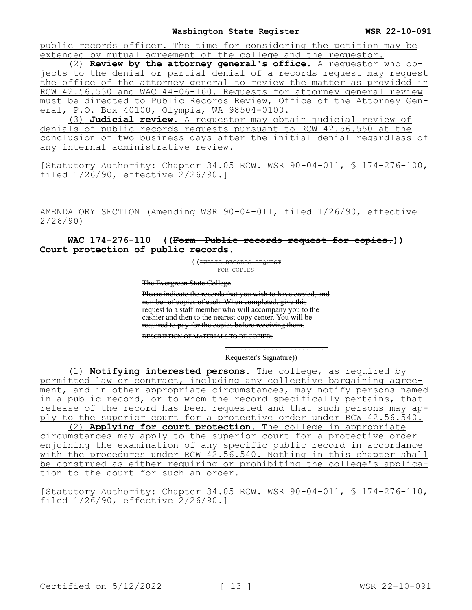public records officer. The time for considering the petition may be extended by mutual agreement of the college and the requestor.

(2) **Review by the attorney general's office.** A requestor who objects to the denial or partial denial of a records request may request the office of the attorney general to review the matter as provided in RCW 42.56.530 and WAC 44-06-160. Requests for attorney general review must be directed to Public Records Review, Office of the Attorney General, P.O. Box 40100, Olympia, WA 98504-0100.

(3) **Judicial review.** A requestor may obtain judicial review of denials of public records requests pursuant to RCW 42.56.550 at the conclusion of two business days after the initial denial regardless of any internal administrative review.

[Statutory Authority: Chapter 34.05 RCW. WSR 90-04-011, § 174-276-100, filed 1/26/90, effective 2/26/90.]

AMENDATORY SECTION (Amending WSR 90-04-011, filed 1/26/90, effective 2/26/90)

# **WAC 174-276-110 ((Form—Public records request for copies.)) Court protection of public records.**

((PUBLIC RECORDS REQUEST FOR COPIES

The Evergreen State College

Please indicate the records that you wish to have copied, and number of copies of each. When completed, give this request to a staff member who will accompany you to the cashier and then to the nearest copy center. You will be required to pay for the copies before receiving them.

DESCRIPTION OF MATERIALS TO BE COPIED:

Requester's Signature))

. . . . . . . . . . . . . . . . . . . . . . . . . .

(1) **Notifying interested persons.** The college, as required by permitted law or contract, including any collective bargaining agreement, and in other appropriate circumstances, may notify persons named in a public record, or to whom the record specifically pertains, that release of the record has been requested and that such persons may apply to the superior court for a protective order under RCW 42.56.540.

(2) **Applying for court protection.** The college in appropriate circumstances may apply to the superior court for a protective order enjoining the examination of any specific public record in accordance with the procedures under RCW 42.56.540. Nothing in this chapter shall be construed as either requiring or prohibiting the college's application to the court for such an order.

[Statutory Authority: Chapter 34.05 RCW. WSR 90-04-011, § 174-276-110, filed 1/26/90, effective 2/26/90.]